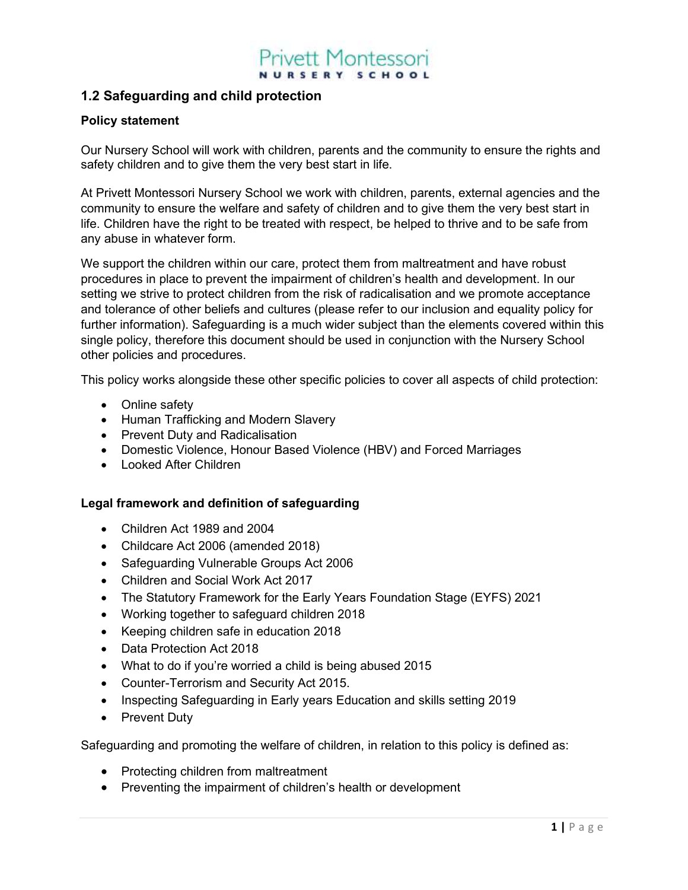### 1.2 Safeguarding and child protection

### Policy statement

Our Nursery School will work with children, parents and the community to ensure the rights and safety children and to give them the very best start in life.

At Privett Montessori Nursery School we work with children, parents, external agencies and the community to ensure the welfare and safety of children and to give them the very best start in life. Children have the right to be treated with respect, be helped to thrive and to be safe from any abuse in whatever form.

We support the children within our care, protect them from maltreatment and have robust procedures in place to prevent the impairment of children's health and development. In our setting we strive to protect children from the risk of radicalisation and we promote acceptance and tolerance of other beliefs and cultures (please refer to our inclusion and equality policy for further information). Safeguarding is a much wider subject than the elements covered within this single policy, therefore this document should be used in conjunction with the Nursery School other policies and procedures.

This policy works alongside these other specific policies to cover all aspects of child protection:

- Online safety
- Human Trafficking and Modern Slavery
- Prevent Duty and Radicalisation
- Domestic Violence, Honour Based Violence (HBV) and Forced Marriages
- Looked After Children

### Legal framework and definition of safeguarding

- Children Act 1989 and 2004
- Childcare Act 2006 (amended 2018)
- Safeguarding Vulnerable Groups Act 2006
- Children and Social Work Act 2017
- The Statutory Framework for the Early Years Foundation Stage (EYFS) 2021
- Working together to safeguard children 2018
- Keeping children safe in education 2018
- Data Protection Act 2018
- What to do if you're worried a child is being abused 2015
- Counter-Terrorism and Security Act 2015.
- Inspecting Safeguarding in Early years Education and skills setting 2019
- Prevent Duty

Safeguarding and promoting the welfare of children, in relation to this policy is defined as:

- Protecting children from maltreatment
- Preventing the impairment of children's health or development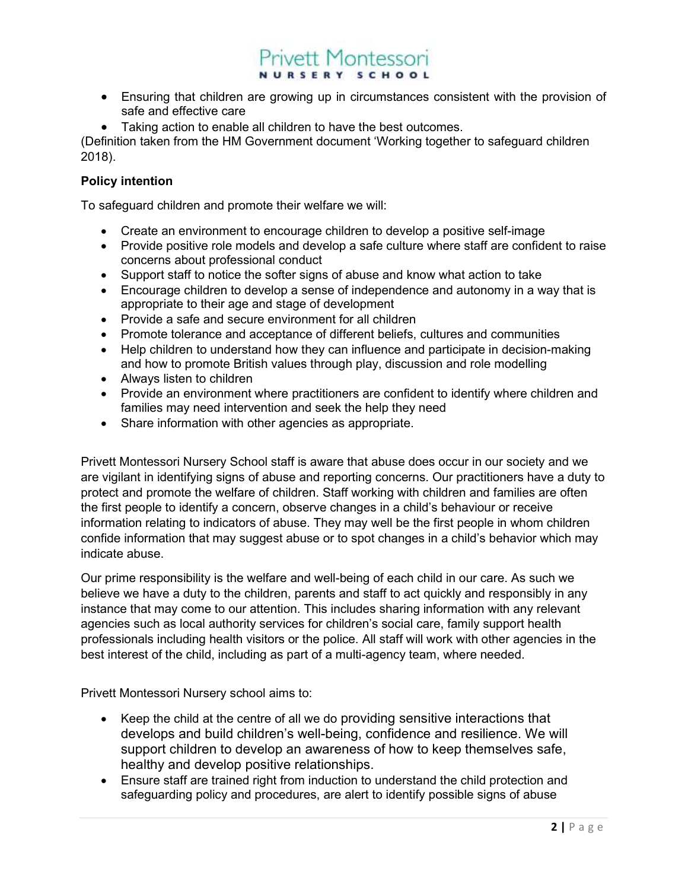- Ensuring that children are growing up in circumstances consistent with the provision of safe and effective care
- Taking action to enable all children to have the best outcomes.

(Definition taken from the HM Government document 'Working together to safeguard children 2018).

### Policy intention

To safeguard children and promote their welfare we will:

- Create an environment to encourage children to develop a positive self-image
- Provide positive role models and develop a safe culture where staff are confident to raise concerns about professional conduct
- Support staff to notice the softer signs of abuse and know what action to take
- Encourage children to develop a sense of independence and autonomy in a way that is appropriate to their age and stage of development
- Provide a safe and secure environment for all children
- Promote tolerance and acceptance of different beliefs, cultures and communities
- Help children to understand how they can influence and participate in decision-making and how to promote British values through play, discussion and role modelling
- Always listen to children
- Provide an environment where practitioners are confident to identify where children and families may need intervention and seek the help they need
- Share information with other agencies as appropriate.

Privett Montessori Nursery School staff is aware that abuse does occur in our society and we are vigilant in identifying signs of abuse and reporting concerns. Our practitioners have a duty to protect and promote the welfare of children. Staff working with children and families are often the first people to identify a concern, observe changes in a child's behaviour or receive information relating to indicators of abuse. They may well be the first people in whom children confide information that may suggest abuse or to spot changes in a child's behavior which may indicate abuse.

Our prime responsibility is the welfare and well-being of each child in our care. As such we believe we have a duty to the children, parents and staff to act quickly and responsibly in any instance that may come to our attention. This includes sharing information with any relevant agencies such as local authority services for children's social care, family support health professionals including health visitors or the police. All staff will work with other agencies in the best interest of the child, including as part of a multi-agency team, where needed.

Privett Montessori Nursery school aims to:

- Keep the child at the centre of all we do providing sensitive interactions that develops and build children's well-being, confidence and resilience. We will support children to develop an awareness of how to keep themselves safe, healthy and develop positive relationships.
- Ensure staff are trained right from induction to understand the child protection and safeguarding policy and procedures, are alert to identify possible signs of abuse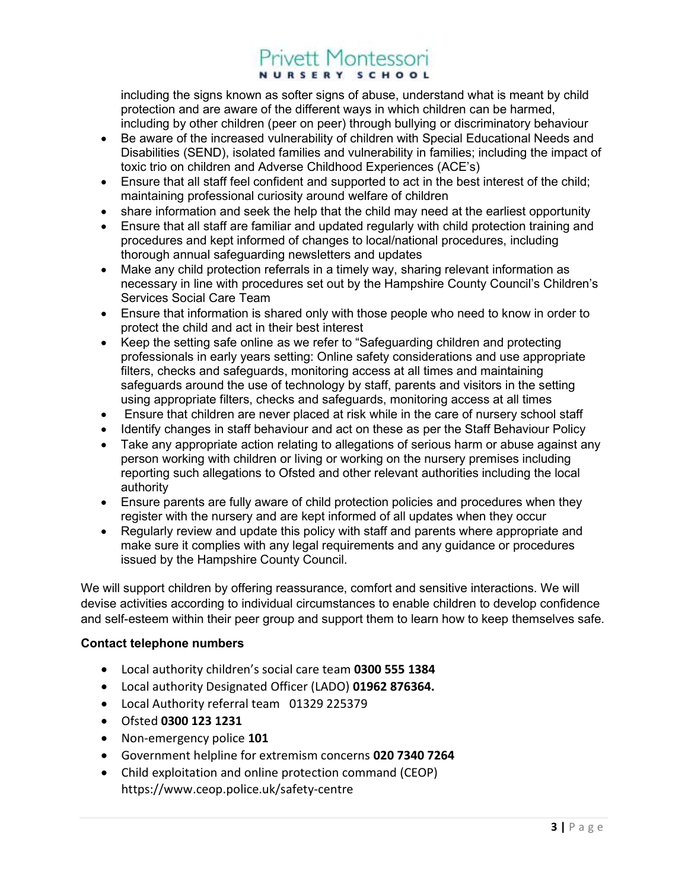including the signs known as softer signs of abuse, understand what is meant by child protection and are aware of the different ways in which children can be harmed, including by other children (peer on peer) through bullying or discriminatory behaviour

- Be aware of the increased vulnerability of children with Special Educational Needs and Disabilities (SEND), isolated families and vulnerability in families; including the impact of toxic trio on children and Adverse Childhood Experiences (ACE's)
- Ensure that all staff feel confident and supported to act in the best interest of the child; maintaining professional curiosity around welfare of children
- share information and seek the help that the child may need at the earliest opportunity
- Ensure that all staff are familiar and updated regularly with child protection training and procedures and kept informed of changes to local/national procedures, including thorough annual safeguarding newsletters and updates
- Make any child protection referrals in a timely way, sharing relevant information as necessary in line with procedures set out by the Hampshire County Council's Children's Services Social Care Team
- Ensure that information is shared only with those people who need to know in order to protect the child and act in their best interest
- Keep the setting safe online as we refer to "Safeguarding children and protecting professionals in early years setting: Online safety considerations and use appropriate filters, checks and safeguards, monitoring access at all times and maintaining safeguards around the use of technology by staff, parents and visitors in the setting using appropriate filters, checks and safeguards, monitoring access at all times
- Ensure that children are never placed at risk while in the care of nursery school staff
- Identify changes in staff behaviour and act on these as per the Staff Behaviour Policy
- Take any appropriate action relating to allegations of serious harm or abuse against any person working with children or living or working on the nursery premises including reporting such allegations to Ofsted and other relevant authorities including the local authority
- Ensure parents are fully aware of child protection policies and procedures when they register with the nursery and are kept informed of all updates when they occur
- Regularly review and update this policy with staff and parents where appropriate and make sure it complies with any legal requirements and any guidance or procedures issued by the Hampshire County Council.

We will support children by offering reassurance, comfort and sensitive interactions. We will devise activities according to individual circumstances to enable children to develop confidence and self-esteem within their peer group and support them to learn how to keep themselves safe.

### Contact telephone numbers

- Local authority children's social care team 0300 555 1384
- Local authority Designated Officer (LADO) 01962 876364.
- Local Authority referral team 01329 225379
- Ofsted 0300 123 1231
- Non-emergency police 101
- Government helpline for extremism concerns 020 7340 7264
- Child exploitation and online protection command (CEOP) https://www.ceop.police.uk/safety-centre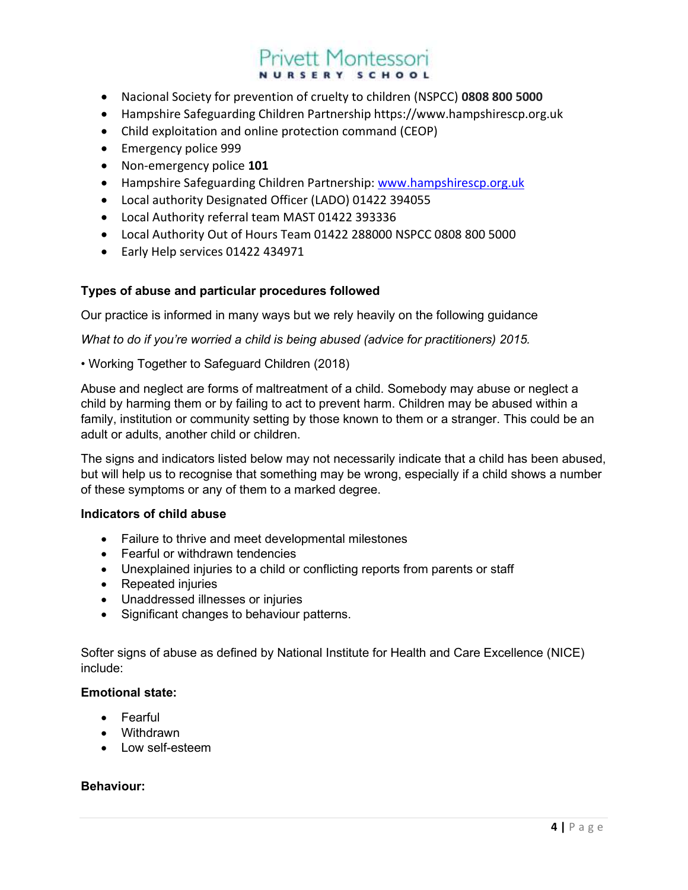- Nacional Society for prevention of cruelty to children (NSPCC) 0808 800 5000
- Hampshire Safeguarding Children Partnership https://www.hampshirescp.org.uk
- Child exploitation and online protection command (CEOP)
- **Emergency police 999**
- Non-emergency police 101
- Hampshire Safeguarding Children Partnership: www.hampshirescp.org.uk
- Local authority Designated Officer (LADO) 01422 394055
- Local Authority referral team MAST 01422 393336
- Local Authority Out of Hours Team 01422 288000 NSPCC 0808 800 5000
- Early Help services 01422 434971

### Types of abuse and particular procedures followed

Our practice is informed in many ways but we rely heavily on the following guidance

What to do if you're worried a child is being abused (advice for practitioners) 2015.

### • Working Together to Safeguard Children (2018)

Abuse and neglect are forms of maltreatment of a child. Somebody may abuse or neglect a child by harming them or by failing to act to prevent harm. Children may be abused within a family, institution or community setting by those known to them or a stranger. This could be an adult or adults, another child or children.

The signs and indicators listed below may not necessarily indicate that a child has been abused, but will help us to recognise that something may be wrong, especially if a child shows a number of these symptoms or any of them to a marked degree.

#### Indicators of child abuse

- Failure to thrive and meet developmental milestones
- Fearful or withdrawn tendencies
- Unexplained injuries to a child or conflicting reports from parents or staff
- Repeated injuries
- Unaddressed illnesses or injuries
- Significant changes to behaviour patterns.

Softer signs of abuse as defined by National Institute for Health and Care Excellence (NICE) include:

### Emotional state:

- Fearful
- Withdrawn
- Low self-esteem

#### Behaviour: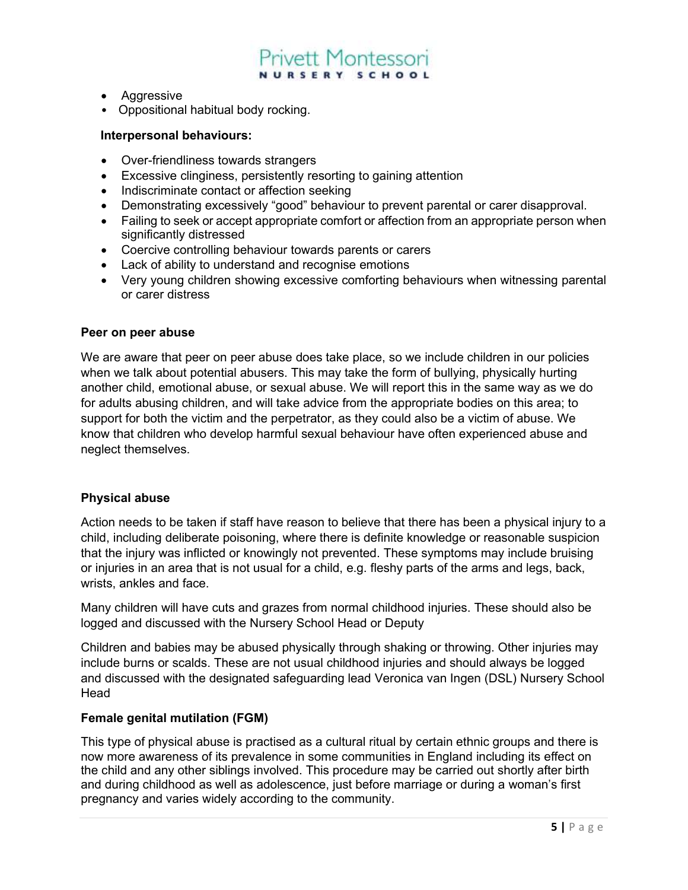- **•** Aggressive
- Oppositional habitual body rocking.

#### Interpersonal behaviours:

- Over-friendliness towards strangers
- Excessive clinginess, persistently resorting to gaining attention
- Indiscriminate contact or affection seeking
- Demonstrating excessively "good" behaviour to prevent parental or carer disapproval.
- Failing to seek or accept appropriate comfort or affection from an appropriate person when significantly distressed
- Coercive controlling behaviour towards parents or carers
- Lack of ability to understand and recognise emotions
- Very young children showing excessive comforting behaviours when witnessing parental or carer distress

#### Peer on peer abuse

We are aware that peer on peer abuse does take place, so we include children in our policies when we talk about potential abusers. This may take the form of bullying, physically hurting another child, emotional abuse, or sexual abuse. We will report this in the same way as we do for adults abusing children, and will take advice from the appropriate bodies on this area; to support for both the victim and the perpetrator, as they could also be a victim of abuse. We know that children who develop harmful sexual behaviour have often experienced abuse and neglect themselves.

#### Physical abuse

Action needs to be taken if staff have reason to believe that there has been a physical injury to a child, including deliberate poisoning, where there is definite knowledge or reasonable suspicion that the injury was inflicted or knowingly not prevented. These symptoms may include bruising or injuries in an area that is not usual for a child, e.g. fleshy parts of the arms and legs, back, wrists, ankles and face.

Many children will have cuts and grazes from normal childhood injuries. These should also be logged and discussed with the Nursery School Head or Deputy

Children and babies may be abused physically through shaking or throwing. Other injuries may include burns or scalds. These are not usual childhood injuries and should always be logged and discussed with the designated safeguarding lead Veronica van Ingen (DSL) Nursery School Head

#### Female genital mutilation (FGM)

This type of physical abuse is practised as a cultural ritual by certain ethnic groups and there is now more awareness of its prevalence in some communities in England including its effect on the child and any other siblings involved. This procedure may be carried out shortly after birth and during childhood as well as adolescence, just before marriage or during a woman's first pregnancy and varies widely according to the community.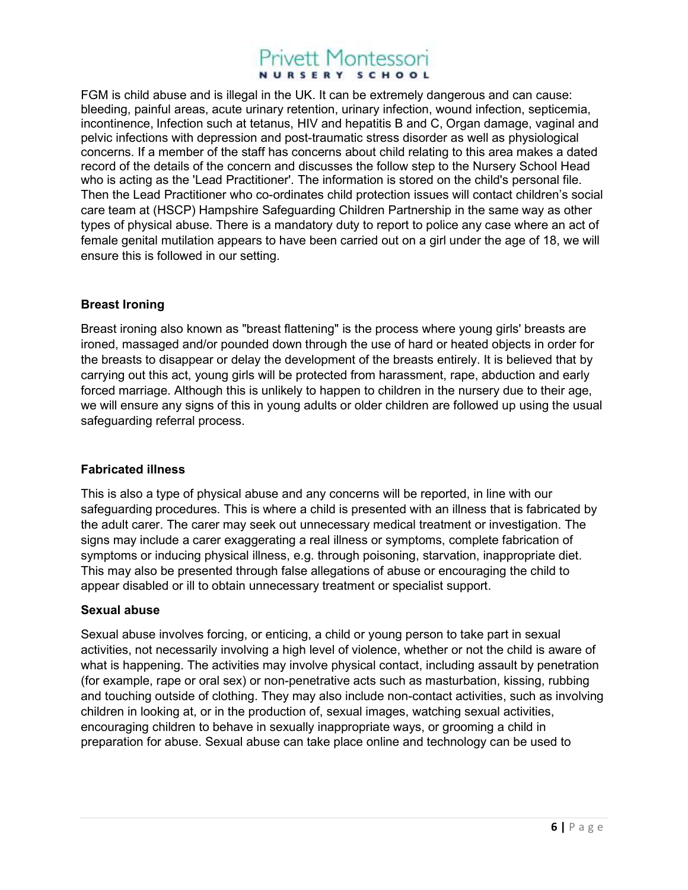FGM is child abuse and is illegal in the UK. It can be extremely dangerous and can cause: bleeding, painful areas, acute urinary retention, urinary infection, wound infection, septicemia, incontinence, Infection such at tetanus, HIV and hepatitis B and C, Organ damage, vaginal and pelvic infections with depression and post-traumatic stress disorder as well as physiological concerns. If a member of the staff has concerns about child relating to this area makes a dated record of the details of the concern and discusses the follow step to the Nursery School Head who is acting as the 'Lead Practitioner'. The information is stored on the child's personal file. Then the Lead Practitioner who co-ordinates child protection issues will contact children's social care team at (HSCP) Hampshire Safeguarding Children Partnership in the same way as other types of physical abuse. There is a mandatory duty to report to police any case where an act of female genital mutilation appears to have been carried out on a girl under the age of 18, we will ensure this is followed in our setting.

### Breast Ironing

Breast ironing also known as "breast flattening" is the process where young girls' breasts are ironed, massaged and/or pounded down through the use of hard or heated objects in order for the breasts to disappear or delay the development of the breasts entirely. It is believed that by carrying out this act, young girls will be protected from harassment, rape, abduction and early forced marriage. Although this is unlikely to happen to children in the nursery due to their age, we will ensure any signs of this in young adults or older children are followed up using the usual safeguarding referral process.

### Fabricated illness

This is also a type of physical abuse and any concerns will be reported, in line with our safeguarding procedures. This is where a child is presented with an illness that is fabricated by the adult carer. The carer may seek out unnecessary medical treatment or investigation. The signs may include a carer exaggerating a real illness or symptoms, complete fabrication of symptoms or inducing physical illness, e.g. through poisoning, starvation, inappropriate diet. This may also be presented through false allegations of abuse or encouraging the child to appear disabled or ill to obtain unnecessary treatment or specialist support.

### Sexual abuse

Sexual abuse involves forcing, or enticing, a child or young person to take part in sexual activities, not necessarily involving a high level of violence, whether or not the child is aware of what is happening. The activities may involve physical contact, including assault by penetration (for example, rape or oral sex) or non-penetrative acts such as masturbation, kissing, rubbing and touching outside of clothing. They may also include non-contact activities, such as involving children in looking at, or in the production of, sexual images, watching sexual activities, encouraging children to behave in sexually inappropriate ways, or grooming a child in preparation for abuse. Sexual abuse can take place online and technology can be used to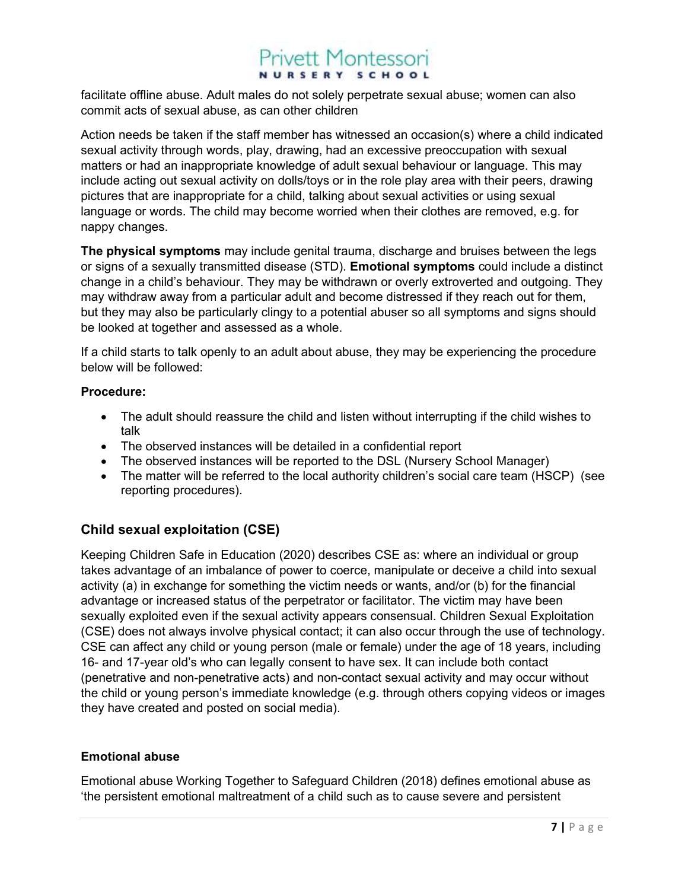facilitate offline abuse. Adult males do not solely perpetrate sexual abuse; women can also commit acts of sexual abuse, as can other children

Action needs be taken if the staff member has witnessed an occasion(s) where a child indicated sexual activity through words, play, drawing, had an excessive preoccupation with sexual matters or had an inappropriate knowledge of adult sexual behaviour or language. This may include acting out sexual activity on dolls/toys or in the role play area with their peers, drawing pictures that are inappropriate for a child, talking about sexual activities or using sexual language or words. The child may become worried when their clothes are removed, e.g. for nappy changes.

The physical symptoms may include genital trauma, discharge and bruises between the legs or signs of a sexually transmitted disease (STD). Emotional symptoms could include a distinct change in a child's behaviour. They may be withdrawn or overly extroverted and outgoing. They may withdraw away from a particular adult and become distressed if they reach out for them, but they may also be particularly clingy to a potential abuser so all symptoms and signs should be looked at together and assessed as a whole.

If a child starts to talk openly to an adult about abuse, they may be experiencing the procedure below will be followed:

#### Procedure:

- The adult should reassure the child and listen without interrupting if the child wishes to talk
- The observed instances will be detailed in a confidential report
- The observed instances will be reported to the DSL (Nursery School Manager)
- The matter will be referred to the local authority children's social care team (HSCP) (see reporting procedures).

### Child sexual exploitation (CSE)

Keeping Children Safe in Education (2020) describes CSE as: where an individual or group takes advantage of an imbalance of power to coerce, manipulate or deceive a child into sexual activity (a) in exchange for something the victim needs or wants, and/or (b) for the financial advantage or increased status of the perpetrator or facilitator. The victim may have been sexually exploited even if the sexual activity appears consensual. Children Sexual Exploitation (CSE) does not always involve physical contact; it can also occur through the use of technology. CSE can affect any child or young person (male or female) under the age of 18 years, including 16- and 17-year old's who can legally consent to have sex. It can include both contact (penetrative and non-penetrative acts) and non-contact sexual activity and may occur without the child or young person's immediate knowledge (e.g. through others copying videos or images they have created and posted on social media).

### Emotional abuse

Emotional abuse Working Together to Safeguard Children (2018) defines emotional abuse as 'the persistent emotional maltreatment of a child such as to cause severe and persistent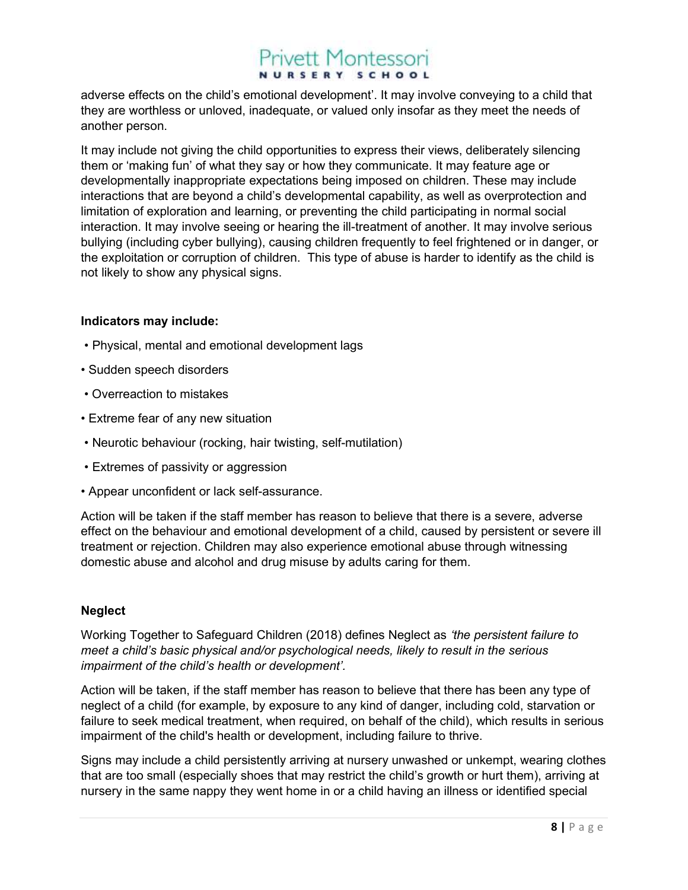adverse effects on the child's emotional development'. It may involve conveying to a child that they are worthless or unloved, inadequate, or valued only insofar as they meet the needs of another person.

It may include not giving the child opportunities to express their views, deliberately silencing them or 'making fun' of what they say or how they communicate. It may feature age or developmentally inappropriate expectations being imposed on children. These may include interactions that are beyond a child's developmental capability, as well as overprotection and limitation of exploration and learning, or preventing the child participating in normal social interaction. It may involve seeing or hearing the ill-treatment of another. It may involve serious bullying (including cyber bullying), causing children frequently to feel frightened or in danger, or the exploitation or corruption of children. This type of abuse is harder to identify as the child is not likely to show any physical signs.

#### Indicators may include:

- Physical, mental and emotional development lags
- Sudden speech disorders
- Overreaction to mistakes
- Extreme fear of any new situation
- Neurotic behaviour (rocking, hair twisting, self-mutilation)
- Extremes of passivity or aggression
- Appear unconfident or lack self-assurance.

Action will be taken if the staff member has reason to believe that there is a severe, adverse effect on the behaviour and emotional development of a child, caused by persistent or severe ill treatment or rejection. Children may also experience emotional abuse through witnessing domestic abuse and alcohol and drug misuse by adults caring for them.

### Neglect

Working Together to Safeguard Children (2018) defines Neglect as 'the persistent failure to meet a child's basic physical and/or psychological needs, likely to result in the serious impairment of the child's health or development'.

Action will be taken, if the staff member has reason to believe that there has been any type of neglect of a child (for example, by exposure to any kind of danger, including cold, starvation or failure to seek medical treatment, when required, on behalf of the child), which results in serious impairment of the child's health or development, including failure to thrive.

Signs may include a child persistently arriving at nursery unwashed or unkempt, wearing clothes that are too small (especially shoes that may restrict the child's growth or hurt them), arriving at nursery in the same nappy they went home in or a child having an illness or identified special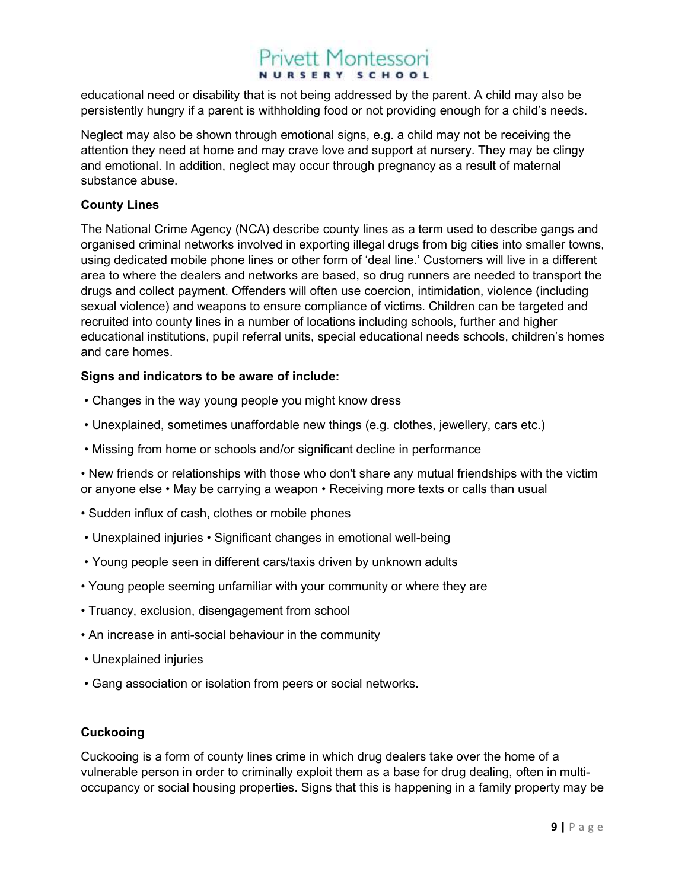educational need or disability that is not being addressed by the parent. A child may also be persistently hungry if a parent is withholding food or not providing enough for a child's needs.

Neglect may also be shown through emotional signs, e.g. a child may not be receiving the attention they need at home and may crave love and support at nursery. They may be clingy and emotional. In addition, neglect may occur through pregnancy as a result of maternal substance abuse.

### County Lines

The National Crime Agency (NCA) describe county lines as a term used to describe gangs and organised criminal networks involved in exporting illegal drugs from big cities into smaller towns, using dedicated mobile phone lines or other form of 'deal line.' Customers will live in a different area to where the dealers and networks are based, so drug runners are needed to transport the drugs and collect payment. Offenders will often use coercion, intimidation, violence (including sexual violence) and weapons to ensure compliance of victims. Children can be targeted and recruited into county lines in a number of locations including schools, further and higher educational institutions, pupil referral units, special educational needs schools, children's homes and care homes.

### Signs and indicators to be aware of include:

- Changes in the way young people you might know dress
- Unexplained, sometimes unaffordable new things (e.g. clothes, jewellery, cars etc.)
- Missing from home or schools and/or significant decline in performance

• New friends or relationships with those who don't share any mutual friendships with the victim or anyone else • May be carrying a weapon • Receiving more texts or calls than usual

- Sudden influx of cash, clothes or mobile phones
- Unexplained injuries Significant changes in emotional well-being
- Young people seen in different cars/taxis driven by unknown adults
- Young people seeming unfamiliar with your community or where they are
- Truancy, exclusion, disengagement from school
- An increase in anti-social behaviour in the community
- Unexplained injuries
- Gang association or isolation from peers or social networks.

### **Cuckooing**

Cuckooing is a form of county lines crime in which drug dealers take over the home of a vulnerable person in order to criminally exploit them as a base for drug dealing, often in multioccupancy or social housing properties. Signs that this is happening in a family property may be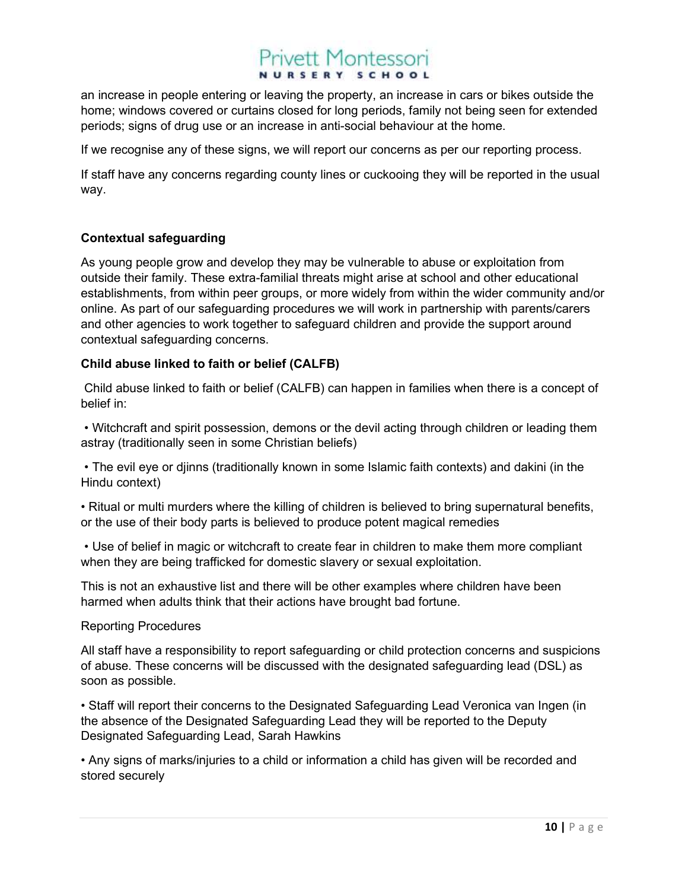an increase in people entering or leaving the property, an increase in cars or bikes outside the home; windows covered or curtains closed for long periods, family not being seen for extended periods; signs of drug use or an increase in anti-social behaviour at the home.

If we recognise any of these signs, we will report our concerns as per our reporting process.

If staff have any concerns regarding county lines or cuckooing they will be reported in the usual way.

### Contextual safeguarding

As young people grow and develop they may be vulnerable to abuse or exploitation from outside their family. These extra-familial threats might arise at school and other educational establishments, from within peer groups, or more widely from within the wider community and/or online. As part of our safeguarding procedures we will work in partnership with parents/carers and other agencies to work together to safeguard children and provide the support around contextual safeguarding concerns.

### Child abuse linked to faith or belief (CALFB)

 Child abuse linked to faith or belief (CALFB) can happen in families when there is a concept of belief in:

 • Witchcraft and spirit possession, demons or the devil acting through children or leading them astray (traditionally seen in some Christian beliefs)

 • The evil eye or djinns (traditionally known in some Islamic faith contexts) and dakini (in the Hindu context)

• Ritual or multi murders where the killing of children is believed to bring supernatural benefits, or the use of their body parts is believed to produce potent magical remedies

 • Use of belief in magic or witchcraft to create fear in children to make them more compliant when they are being trafficked for domestic slavery or sexual exploitation.

This is not an exhaustive list and there will be other examples where children have been harmed when adults think that their actions have brought bad fortune.

Reporting Procedures

All staff have a responsibility to report safeguarding or child protection concerns and suspicions of abuse. These concerns will be discussed with the designated safeguarding lead (DSL) as soon as possible.

• Staff will report their concerns to the Designated Safeguarding Lead Veronica van Ingen (in the absence of the Designated Safeguarding Lead they will be reported to the Deputy Designated Safeguarding Lead, Sarah Hawkins

• Any signs of marks/injuries to a child or information a child has given will be recorded and stored securely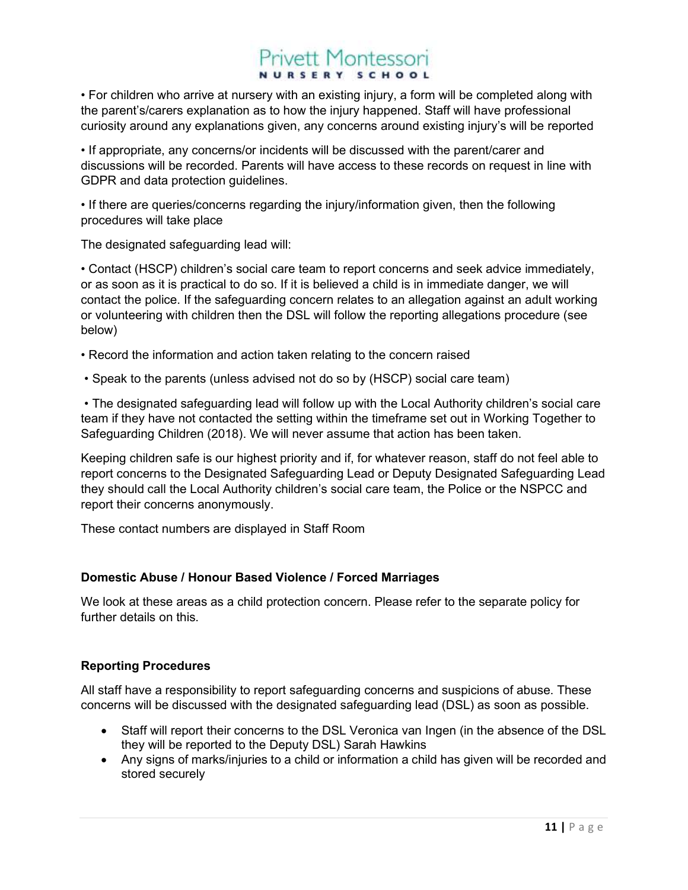• For children who arrive at nursery with an existing injury, a form will be completed along with the parent's/carers explanation as to how the injury happened. Staff will have professional curiosity around any explanations given, any concerns around existing injury's will be reported

• If appropriate, any concerns/or incidents will be discussed with the parent/carer and discussions will be recorded. Parents will have access to these records on request in line with GDPR and data protection guidelines.

• If there are queries/concerns regarding the injury/information given, then the following procedures will take place

The designated safeguarding lead will:

• Contact (HSCP) children's social care team to report concerns and seek advice immediately, or as soon as it is practical to do so. If it is believed a child is in immediate danger, we will contact the police. If the safeguarding concern relates to an allegation against an adult working or volunteering with children then the DSL will follow the reporting allegations procedure (see below)

- Record the information and action taken relating to the concern raised
- Speak to the parents (unless advised not do so by (HSCP) social care team)

 • The designated safeguarding lead will follow up with the Local Authority children's social care team if they have not contacted the setting within the timeframe set out in Working Together to Safeguarding Children (2018). We will never assume that action has been taken.

Keeping children safe is our highest priority and if, for whatever reason, staff do not feel able to report concerns to the Designated Safeguarding Lead or Deputy Designated Safeguarding Lead they should call the Local Authority children's social care team, the Police or the NSPCC and report their concerns anonymously.

These contact numbers are displayed in Staff Room

### Domestic Abuse / Honour Based Violence / Forced Marriages

We look at these areas as a child protection concern. Please refer to the separate policy for further details on this.

### Reporting Procedures

All staff have a responsibility to report safeguarding concerns and suspicions of abuse. These concerns will be discussed with the designated safeguarding lead (DSL) as soon as possible.

- Staff will report their concerns to the DSL Veronica van Ingen (in the absence of the DSL they will be reported to the Deputy DSL) Sarah Hawkins
- Any signs of marks/injuries to a child or information a child has given will be recorded and stored securely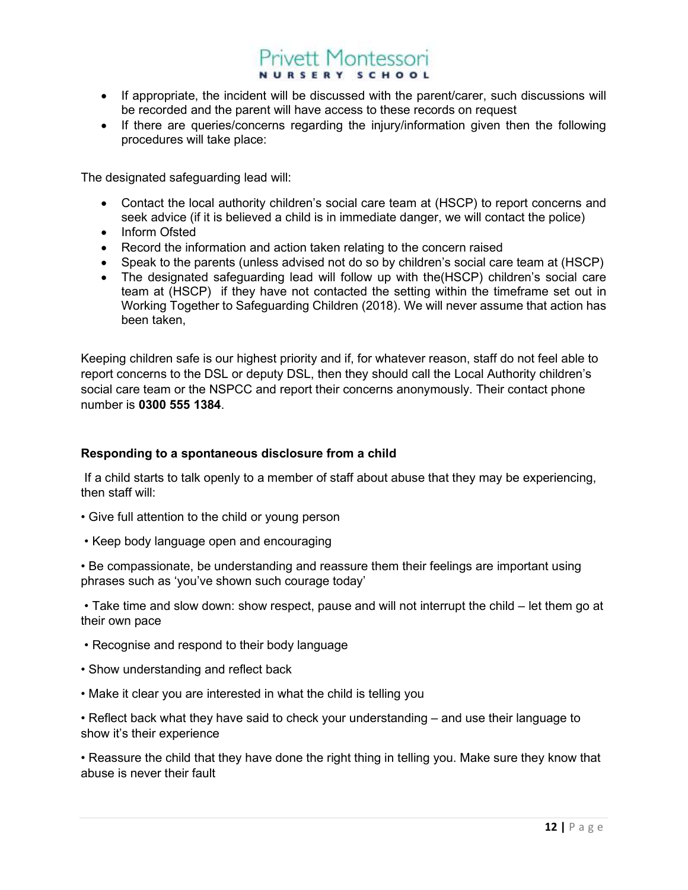- If appropriate, the incident will be discussed with the parent/carer, such discussions will be recorded and the parent will have access to these records on request
- If there are queries/concerns regarding the injury/information given then the following procedures will take place:

The designated safeguarding lead will:

- Contact the local authority children's social care team at (HSCP) to report concerns and seek advice (if it is believed a child is in immediate danger, we will contact the police)
- Inform Ofsted
- Record the information and action taken relating to the concern raised
- Speak to the parents (unless advised not do so by children's social care team at (HSCP)
- The designated safeguarding lead will follow up with the(HSCP) children's social care team at (HSCP) if they have not contacted the setting within the timeframe set out in Working Together to Safeguarding Children (2018). We will never assume that action has been taken,

Keeping children safe is our highest priority and if, for whatever reason, staff do not feel able to report concerns to the DSL or deputy DSL, then they should call the Local Authority children's social care team or the NSPCC and report their concerns anonymously. Their contact phone number is 0300 555 1384.

### Responding to a spontaneous disclosure from a child

 If a child starts to talk openly to a member of staff about abuse that they may be experiencing, then staff will:

- Give full attention to the child or young person
- Keep body language open and encouraging

• Be compassionate, be understanding and reassure them their feelings are important using phrases such as 'you've shown such courage today'

 • Take time and slow down: show respect, pause and will not interrupt the child – let them go at their own pace

- Recognise and respond to their body language
- Show understanding and reflect back
- Make it clear you are interested in what the child is telling you

• Reflect back what they have said to check your understanding – and use their language to show it's their experience

• Reassure the child that they have done the right thing in telling you. Make sure they know that abuse is never their fault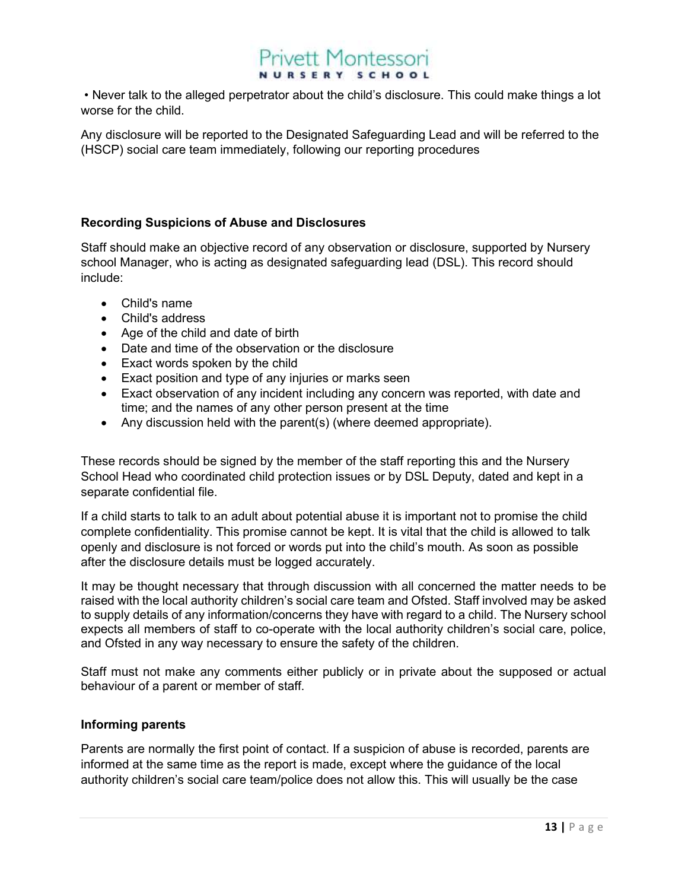• Never talk to the alleged perpetrator about the child's disclosure. This could make things a lot worse for the child.

Any disclosure will be reported to the Designated Safeguarding Lead and will be referred to the (HSCP) social care team immediately, following our reporting procedures

### Recording Suspicions of Abuse and Disclosures

Staff should make an objective record of any observation or disclosure, supported by Nursery school Manager, who is acting as designated safeguarding lead (DSL). This record should include:

- Child's name
- Child's address
- Age of the child and date of birth
- Date and time of the observation or the disclosure
- Exact words spoken by the child
- Exact position and type of any injuries or marks seen
- Exact observation of any incident including any concern was reported, with date and time; and the names of any other person present at the time
- Any discussion held with the parent(s) (where deemed appropriate).

These records should be signed by the member of the staff reporting this and the Nursery School Head who coordinated child protection issues or by DSL Deputy, dated and kept in a separate confidential file.

If a child starts to talk to an adult about potential abuse it is important not to promise the child complete confidentiality. This promise cannot be kept. It is vital that the child is allowed to talk openly and disclosure is not forced or words put into the child's mouth. As soon as possible after the disclosure details must be logged accurately.

It may be thought necessary that through discussion with all concerned the matter needs to be raised with the local authority children's social care team and Ofsted. Staff involved may be asked to supply details of any information/concerns they have with regard to a child. The Nursery school expects all members of staff to co-operate with the local authority children's social care, police, and Ofsted in any way necessary to ensure the safety of the children.

Staff must not make any comments either publicly or in private about the supposed or actual behaviour of a parent or member of staff.

### Informing parents

Parents are normally the first point of contact. If a suspicion of abuse is recorded, parents are informed at the same time as the report is made, except where the guidance of the local authority children's social care team/police does not allow this. This will usually be the case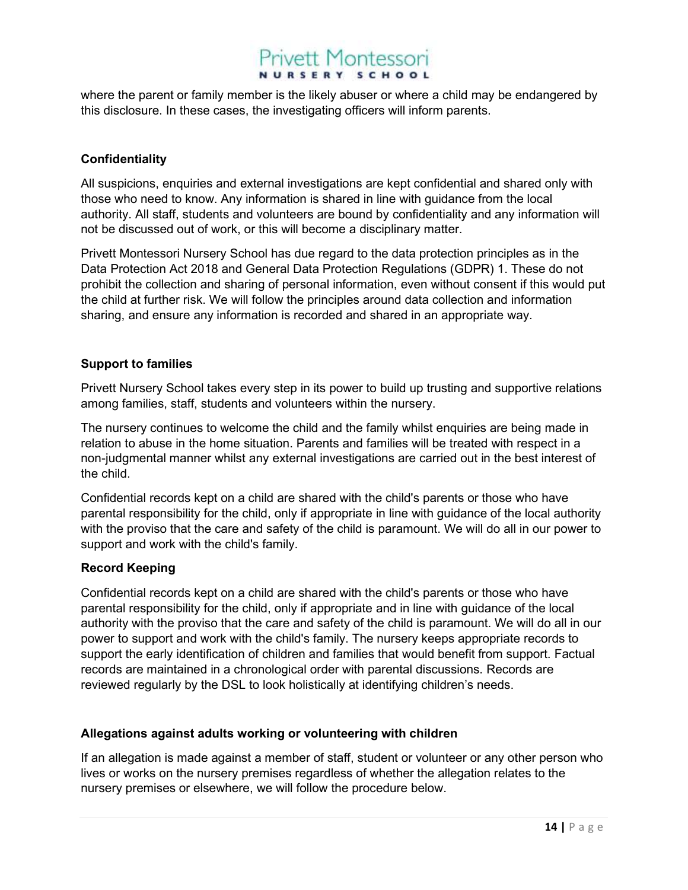where the parent or family member is the likely abuser or where a child may be endangered by this disclosure. In these cases, the investigating officers will inform parents.

### **Confidentiality**

All suspicions, enquiries and external investigations are kept confidential and shared only with those who need to know. Any information is shared in line with guidance from the local authority. All staff, students and volunteers are bound by confidentiality and any information will not be discussed out of work, or this will become a disciplinary matter.

Privett Montessori Nursery School has due regard to the data protection principles as in the Data Protection Act 2018 and General Data Protection Regulations (GDPR) 1. These do not prohibit the collection and sharing of personal information, even without consent if this would put the child at further risk. We will follow the principles around data collection and information sharing, and ensure any information is recorded and shared in an appropriate way.

### Support to families

Privett Nursery School takes every step in its power to build up trusting and supportive relations among families, staff, students and volunteers within the nursery.

The nursery continues to welcome the child and the family whilst enquiries are being made in relation to abuse in the home situation. Parents and families will be treated with respect in a non-judgmental manner whilst any external investigations are carried out in the best interest of the child.

Confidential records kept on a child are shared with the child's parents or those who have parental responsibility for the child, only if appropriate in line with guidance of the local authority with the proviso that the care and safety of the child is paramount. We will do all in our power to support and work with the child's family.

### Record Keeping

Confidential records kept on a child are shared with the child's parents or those who have parental responsibility for the child, only if appropriate and in line with guidance of the local authority with the proviso that the care and safety of the child is paramount. We will do all in our power to support and work with the child's family. The nursery keeps appropriate records to support the early identification of children and families that would benefit from support. Factual records are maintained in a chronological order with parental discussions. Records are reviewed regularly by the DSL to look holistically at identifying children's needs.

### Allegations against adults working or volunteering with children

If an allegation is made against a member of staff, student or volunteer or any other person who lives or works on the nursery premises regardless of whether the allegation relates to the nursery premises or elsewhere, we will follow the procedure below.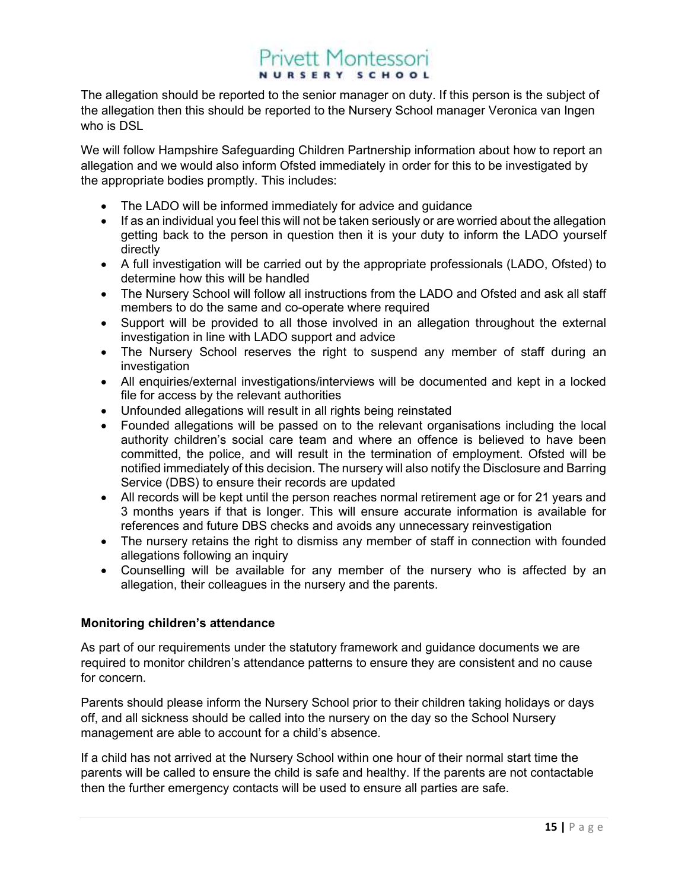The allegation should be reported to the senior manager on duty. If this person is the subject of the allegation then this should be reported to the Nursery School manager Veronica van Ingen who is DSL

We will follow Hampshire Safeguarding Children Partnership information about how to report an allegation and we would also inform Ofsted immediately in order for this to be investigated by the appropriate bodies promptly. This includes:

- The LADO will be informed immediately for advice and quidance
- If as an individual you feel this will not be taken seriously or are worried about the allegation getting back to the person in question then it is your duty to inform the LADO yourself directly
- A full investigation will be carried out by the appropriate professionals (LADO, Ofsted) to determine how this will be handled
- The Nursery School will follow all instructions from the LADO and Ofsted and ask all staff members to do the same and co-operate where required
- Support will be provided to all those involved in an allegation throughout the external investigation in line with LADO support and advice
- The Nursery School reserves the right to suspend any member of staff during an investigation
- All enquiries/external investigations/interviews will be documented and kept in a locked file for access by the relevant authorities
- Unfounded allegations will result in all rights being reinstated
- Founded allegations will be passed on to the relevant organisations including the local authority children's social care team and where an offence is believed to have been committed, the police, and will result in the termination of employment. Ofsted will be notified immediately of this decision. The nursery will also notify the Disclosure and Barring Service (DBS) to ensure their records are updated
- All records will be kept until the person reaches normal retirement age or for 21 years and 3 months years if that is longer. This will ensure accurate information is available for references and future DBS checks and avoids any unnecessary reinvestigation
- The nursery retains the right to dismiss any member of staff in connection with founded allegations following an inquiry
- Counselling will be available for any member of the nursery who is affected by an allegation, their colleagues in the nursery and the parents.

### Monitoring children's attendance

As part of our requirements under the statutory framework and guidance documents we are required to monitor children's attendance patterns to ensure they are consistent and no cause for concern.

Parents should please inform the Nursery School prior to their children taking holidays or days off, and all sickness should be called into the nursery on the day so the School Nursery management are able to account for a child's absence.

If a child has not arrived at the Nursery School within one hour of their normal start time the parents will be called to ensure the child is safe and healthy. If the parents are not contactable then the further emergency contacts will be used to ensure all parties are safe.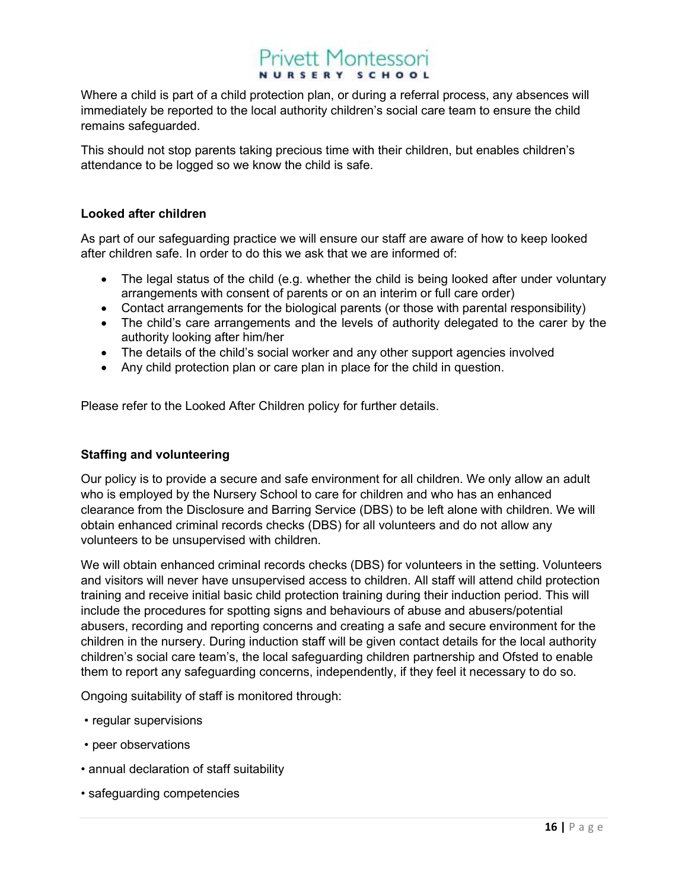Where a child is part of a child protection plan, or during a referral process, any absences will immediately be reported to the local authority children's social care team to ensure the child remains safeguarded.

This should not stop parents taking precious time with their children, but enables children's attendance to be logged so we know the child is safe.

### Looked after children

As part of our safeguarding practice we will ensure our staff are aware of how to keep looked after children safe. In order to do this we ask that we are informed of:

- The legal status of the child (e.g. whether the child is being looked after under voluntary arrangements with consent of parents or on an interim or full care order)
- Contact arrangements for the biological parents (or those with parental responsibility)
- The child's care arrangements and the levels of authority delegated to the carer by the authority looking after him/her
- The details of the child's social worker and any other support agencies involved
- Any child protection plan or care plan in place for the child in question.

Please refer to the Looked After Children policy for further details.

### Staffing and volunteering

Our policy is to provide a secure and safe environment for all children. We only allow an adult who is employed by the Nursery School to care for children and who has an enhanced clearance from the Disclosure and Barring Service (DBS) to be left alone with children. We will obtain enhanced criminal records checks (DBS) for all volunteers and do not allow any volunteers to be unsupervised with children.

We will obtain enhanced criminal records checks (DBS) for volunteers in the setting. Volunteers and visitors will never have unsupervised access to children. All staff will attend child protection training and receive initial basic child protection training during their induction period. This will include the procedures for spotting signs and behaviours of abuse and abusers/potential abusers, recording and reporting concerns and creating a safe and secure environment for the children in the nursery. During induction staff will be given contact details for the local authority children's social care team's, the local safeguarding children partnership and Ofsted to enable them to report any safeguarding concerns, independently, if they feel it necessary to do so.

Ongoing suitability of staff is monitored through:

- regular supervisions
- peer observations
- annual declaration of staff suitability
- safeguarding competencies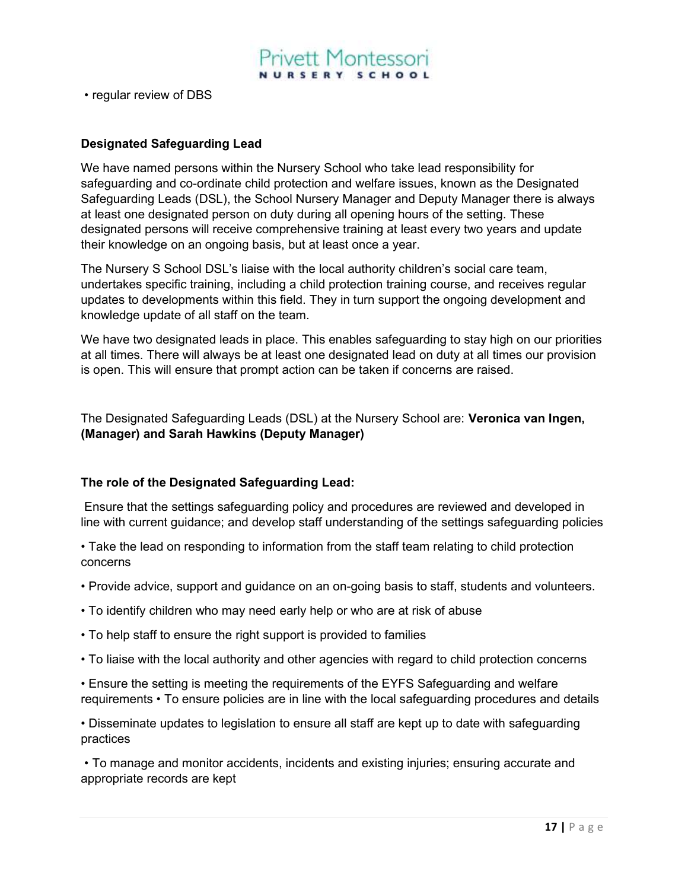

• regular review of DBS

#### Designated Safeguarding Lead

We have named persons within the Nursery School who take lead responsibility for safeguarding and co-ordinate child protection and welfare issues, known as the Designated Safeguarding Leads (DSL), the School Nursery Manager and Deputy Manager there is always at least one designated person on duty during all opening hours of the setting. These designated persons will receive comprehensive training at least every two years and update their knowledge on an ongoing basis, but at least once a year.

The Nursery S School DSL's liaise with the local authority children's social care team, undertakes specific training, including a child protection training course, and receives regular updates to developments within this field. They in turn support the ongoing development and knowledge update of all staff on the team.

We have two designated leads in place. This enables safeguarding to stay high on our priorities at all times. There will always be at least one designated lead on duty at all times our provision is open. This will ensure that prompt action can be taken if concerns are raised.

The Designated Safeguarding Leads (DSL) at the Nursery School are: Veronica van Ingen, (Manager) and Sarah Hawkins (Deputy Manager)

#### The role of the Designated Safeguarding Lead:

 Ensure that the settings safeguarding policy and procedures are reviewed and developed in line with current guidance; and develop staff understanding of the settings safeguarding policies

• Take the lead on responding to information from the staff team relating to child protection concerns

- Provide advice, support and guidance on an on-going basis to staff, students and volunteers.
- To identify children who may need early help or who are at risk of abuse
- To help staff to ensure the right support is provided to families
- To liaise with the local authority and other agencies with regard to child protection concerns

• Ensure the setting is meeting the requirements of the EYFS Safeguarding and welfare requirements • To ensure policies are in line with the local safeguarding procedures and details

• Disseminate updates to legislation to ensure all staff are kept up to date with safeguarding practices

 • To manage and monitor accidents, incidents and existing injuries; ensuring accurate and appropriate records are kept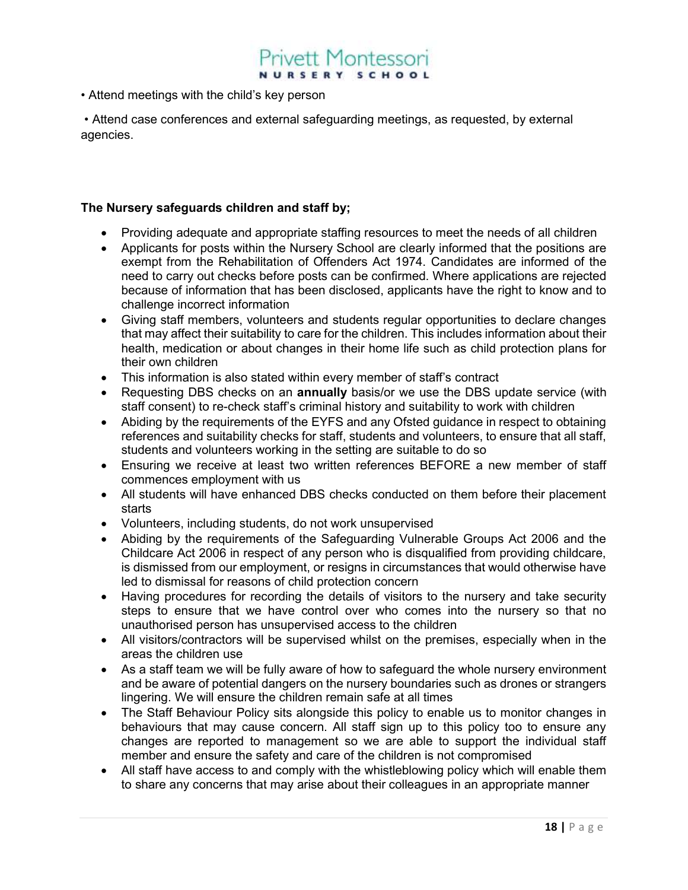• Attend meetings with the child's key person

 • Attend case conferences and external safeguarding meetings, as requested, by external agencies.

### The Nursery safeguards children and staff by;

- Providing adequate and appropriate staffing resources to meet the needs of all children
- Applicants for posts within the Nursery School are clearly informed that the positions are exempt from the Rehabilitation of Offenders Act 1974. Candidates are informed of the need to carry out checks before posts can be confirmed. Where applications are rejected because of information that has been disclosed, applicants have the right to know and to challenge incorrect information
- Giving staff members, volunteers and students regular opportunities to declare changes that may affect their suitability to care for the children. This includes information about their health, medication or about changes in their home life such as child protection plans for their own children
- This information is also stated within every member of staff's contract
- Requesting DBS checks on an **annually** basis/or we use the DBS update service (with staff consent) to re-check staff's criminal history and suitability to work with children
- Abiding by the requirements of the EYFS and any Ofsted guidance in respect to obtaining references and suitability checks for staff, students and volunteers, to ensure that all staff, students and volunteers working in the setting are suitable to do so
- Ensuring we receive at least two written references BEFORE a new member of staff commences employment with us
- All students will have enhanced DBS checks conducted on them before their placement starts
- Volunteers, including students, do not work unsupervised
- Abiding by the requirements of the Safeguarding Vulnerable Groups Act 2006 and the Childcare Act 2006 in respect of any person who is disqualified from providing childcare, is dismissed from our employment, or resigns in circumstances that would otherwise have led to dismissal for reasons of child protection concern
- Having procedures for recording the details of visitors to the nursery and take security steps to ensure that we have control over who comes into the nursery so that no unauthorised person has unsupervised access to the children
- All visitors/contractors will be supervised whilst on the premises, especially when in the areas the children use
- As a staff team we will be fully aware of how to safeguard the whole nursery environment and be aware of potential dangers on the nursery boundaries such as drones or strangers lingering. We will ensure the children remain safe at all times
- The Staff Behaviour Policy sits alongside this policy to enable us to monitor changes in behaviours that may cause concern. All staff sign up to this policy too to ensure any changes are reported to management so we are able to support the individual staff member and ensure the safety and care of the children is not compromised
- All staff have access to and comply with the whistleblowing policy which will enable them to share any concerns that may arise about their colleagues in an appropriate manner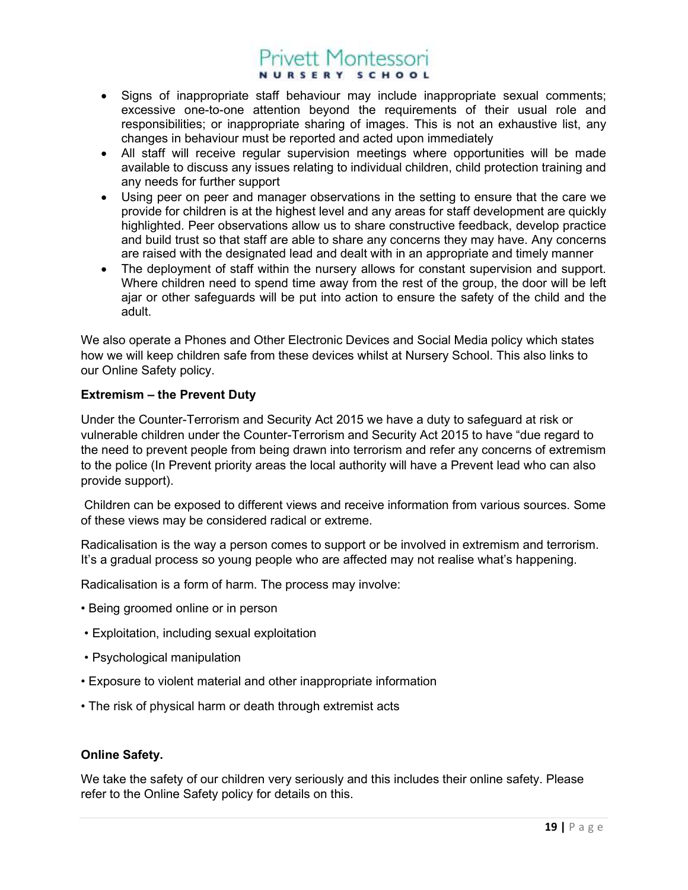- Signs of inappropriate staff behaviour may include inappropriate sexual comments; excessive one-to-one attention beyond the requirements of their usual role and responsibilities; or inappropriate sharing of images. This is not an exhaustive list, any changes in behaviour must be reported and acted upon immediately
- All staff will receive regular supervision meetings where opportunities will be made available to discuss any issues relating to individual children, child protection training and any needs for further support
- Using peer on peer and manager observations in the setting to ensure that the care we provide for children is at the highest level and any areas for staff development are quickly highlighted. Peer observations allow us to share constructive feedback, develop practice and build trust so that staff are able to share any concerns they may have. Any concerns are raised with the designated lead and dealt with in an appropriate and timely manner
- The deployment of staff within the nursery allows for constant supervision and support. Where children need to spend time away from the rest of the group, the door will be left ajar or other safeguards will be put into action to ensure the safety of the child and the adult.

We also operate a Phones and Other Electronic Devices and Social Media policy which states how we will keep children safe from these devices whilst at Nursery School. This also links to our Online Safety policy.

### Extremism – the Prevent Duty

Under the Counter-Terrorism and Security Act 2015 we have a duty to safeguard at risk or vulnerable children under the Counter-Terrorism and Security Act 2015 to have "due regard to the need to prevent people from being drawn into terrorism and refer any concerns of extremism to the police (In Prevent priority areas the local authority will have a Prevent lead who can also provide support).

 Children can be exposed to different views and receive information from various sources. Some of these views may be considered radical or extreme.

Radicalisation is the way a person comes to support or be involved in extremism and terrorism. It's a gradual process so young people who are affected may not realise what's happening.

Radicalisation is a form of harm. The process may involve:

- Being groomed online or in person
- Exploitation, including sexual exploitation
- Psychological manipulation
- Exposure to violent material and other inappropriate information
- The risk of physical harm or death through extremist acts

### Online Safety.

We take the safety of our children very seriously and this includes their online safety. Please refer to the Online Safety policy for details on this.